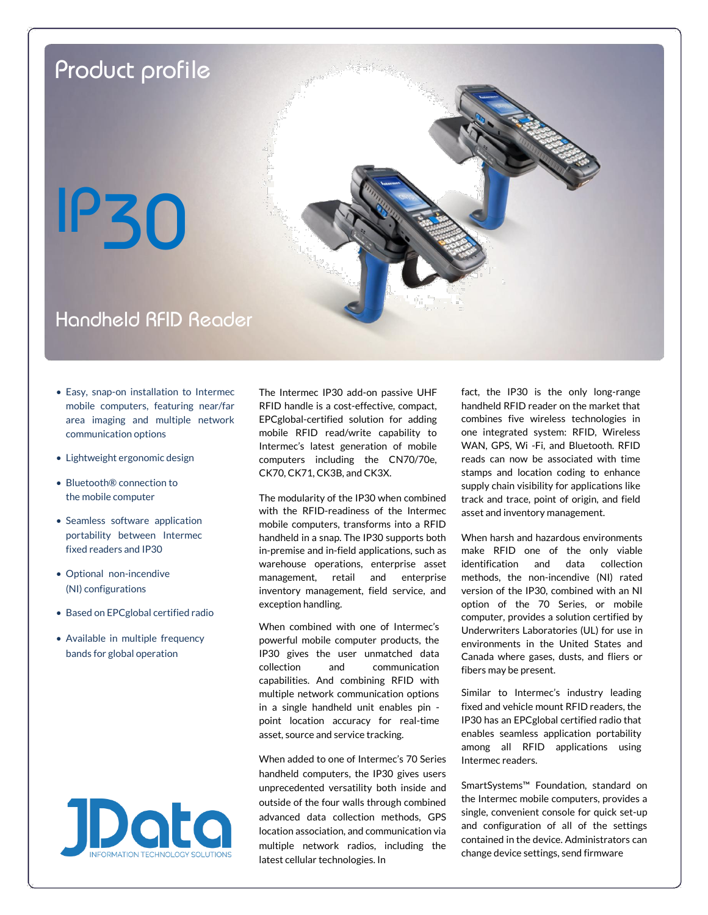

- Easy, snap-on installation to Intermec mobile computers, featuring near/far area imaging and multiple network communication options
- Lightweight ergonomic design
- Bluetooth® connection to the mobile computer
- Seamless software application portability between Intermec fixed readers and IP30
- Optional non-incendive (NI) configurations
- Based on EPCglobal certified radio
- Available in multiple frequency bands for global operation



The Intermec IP30 add-on passive UHF RFID handle is a cost-effective, compact, EPCglobal-certified solution for adding mobile RFID read/write capability to Intermec's latest generation of mobile computers including the CN70/70e, CK70, CK71, CK3B, and CK3X.

The modularity of the IP30 when combined with the RFID-readiness of the Intermec mobile computers, transforms into a RFID handheld in a snap. The IP30 supports both in-premise and in-field applications, such as warehouse operations, enterprise asset management, retail and enterprise inventory management, field service, and exception handling.

When combined with one of Intermec's powerful mobile computer products, the IP30 gives the user unmatched data collection and communication capabilities. And combining RFID with multiple network communication options in a single handheld unit enables pin point location accuracy for real-time asset, source and service tracking.

When added to one of Intermec's 70 Series handheld computers, the IP30 gives users unprecedented versatility both inside and outside of the four walls through combined advanced data collection methods, GPS location association, and communication via multiple network radios, including the latest cellular technologies. In

fact, the IP30 is the only long-range handheld RFID reader on the market that combines five wireless technologies in one integrated system: RFID, Wireless WAN, GPS, Wi -Fi, and Bluetooth. RFID reads can now be associated with time stamps and location coding to enhance supply chain visibility for applications like track and trace, point of origin, and field asset and inventory management.

When harsh and hazardous environments make RFID one of the only viable identification and data collection methods, the non-incendive (NI) rated version of the IP30, combined with an NI option of the 70 Series, or mobile computer, provides a solution certified by Underwriters Laboratories (UL) for use in environments in the United States and Canada where gases, dusts, and fliers or fibers may be present.

Similar to Intermec's industry leading fixed and vehicle mount RFID readers, the IP30 has an EPCglobal certified radio that enables seamless application portability among all RFID applications using Intermec readers.

SmartSystems™ Foundation, standard on the Intermec mobile computers, provides a single, convenient console for quick set-up and configuration of all of the settings contained in the device. Administrators can change device settings, send firmware